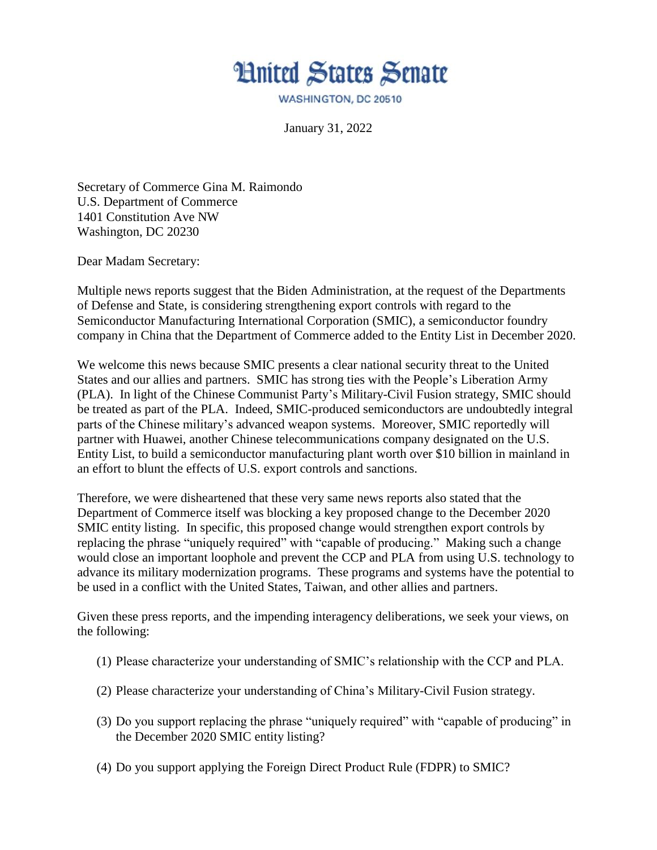

WASHINGTON, DC 20510

January 31, 2022

Secretary of Commerce Gina M. Raimondo U.S. Department of Commerce 1401 Constitution Ave NW Washington, DC 20230

Dear Madam Secretary:

Multiple news reports suggest that the Biden Administration, at the request of the Departments of Defense and State, is considering strengthening export controls with regard to the Semiconductor Manufacturing International Corporation (SMIC), a semiconductor foundry company in China that the Department of Commerce added to the Entity List in December 2020.

We welcome this news because SMIC presents a clear national security threat to the United States and our allies and partners. SMIC has strong ties with the People's Liberation Army (PLA). In light of the Chinese Communist Party's Military-Civil Fusion strategy, SMIC should be treated as part of the PLA. Indeed, SMIC-produced semiconductors are undoubtedly integral parts of the Chinese military's advanced weapon systems. Moreover, SMIC reportedly will partner with Huawei, another Chinese telecommunications company designated on the U.S. Entity List, to build a semiconductor manufacturing plant worth over \$10 billion in mainland in an effort to blunt the effects of U.S. export controls and sanctions.

Therefore, we were disheartened that these very same news reports also stated that the Department of Commerce itself was blocking a key proposed change to the December 2020 SMIC entity listing. In specific, this proposed change would strengthen export controls by replacing the phrase "uniquely required" with "capable of producing." Making such a change would close an important loophole and prevent the CCP and PLA from using U.S. technology to advance its military modernization programs. These programs and systems have the potential to be used in a conflict with the United States, Taiwan, and other allies and partners.

Given these press reports, and the impending interagency deliberations, we seek your views, on the following:

- (1) Please characterize your understanding of SMIC's relationship with the CCP and PLA.
- (2) Please characterize your understanding of China's Military-Civil Fusion strategy.
- (3) Do you support replacing the phrase "uniquely required" with "capable of producing" in the December 2020 SMIC entity listing?
- (4) Do you support applying the Foreign Direct Product Rule (FDPR) to SMIC?